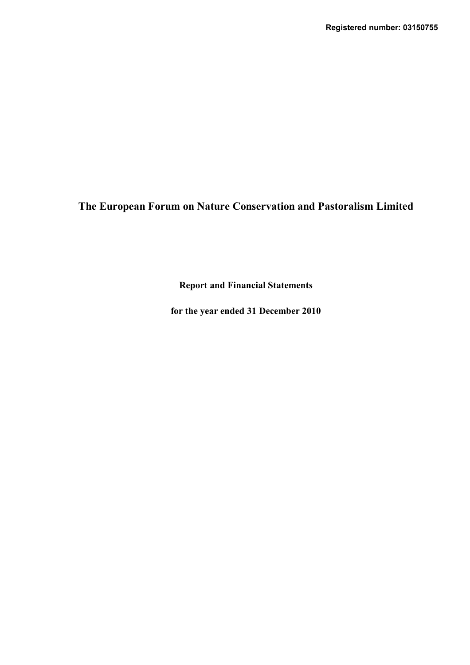# **The European Forum on Nature Conservation and Pastoralism Limited**

**Report and Financial Statements**

**for the year ended 31 December 2010**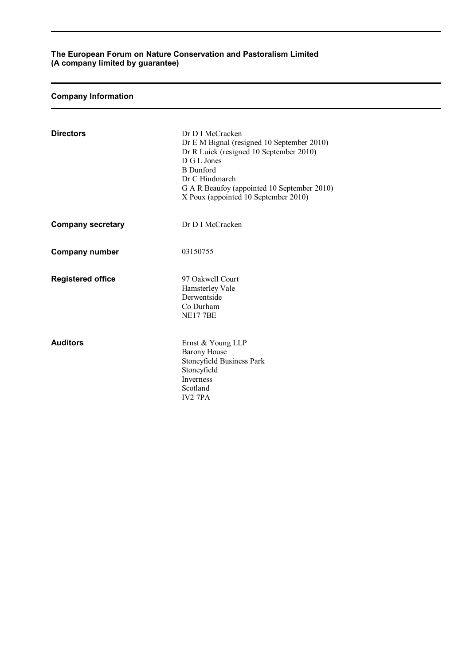# **Company Information**

| <b>Directors</b>         | Dr D I McCracken<br>Dr E M Bignal (resigned 10 September 2010)<br>Dr R Luick (resigned 10 September 2010)<br>D G L Jones<br><b>B</b> Dunford<br>Dr C Hindmarch<br>G A R Beaufoy (appointed 10 September 2010)<br>X Poux (appointed 10 September 2010) |
|--------------------------|-------------------------------------------------------------------------------------------------------------------------------------------------------------------------------------------------------------------------------------------------------|
| <b>Company secretary</b> | Dr D I McCracken                                                                                                                                                                                                                                      |
| <b>Company number</b>    | 03150755                                                                                                                                                                                                                                              |
| <b>Registered office</b> | 97 Oakwell Court<br>Hamsterley Vale<br>Derwentside<br>Co Durham<br><b>NE177BE</b>                                                                                                                                                                     |
| <b>Auditors</b>          | Ernst & Young LLP<br><b>Barony House</b><br>Stoneyfield Business Park<br>Stoneyfield<br><b>Inverness</b><br>Scotland<br>$IV2$ 7PA                                                                                                                     |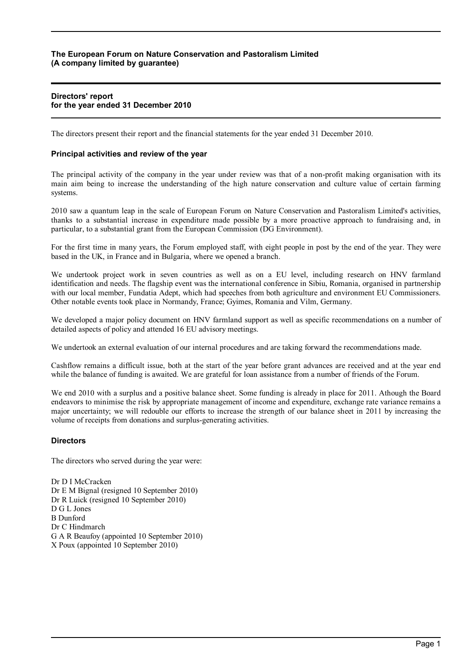#### **Directors' report for the year ended 31 December 2010**

The directors present their report and the financial statements for the year ended 31 December 2010.

#### **Principal activities and review of the year**

The principal activity of the company in the year under review was that of a non-profit making organisation with its main aim being to increase the understanding of the high nature conservation and culture value of certain farming systems.

2010 saw a quantum leap in the scale of European Forum on Nature Conservation and Pastoralism Limited's activities, thanks to a substantial increase in expenditure made possible by a more proactive approach to fundraising and, in particular, to a substantial grant from the European Commission (DG Environment).

For the first time in many years, the Forum employed staff, with eight people in post by the end of the year. They were based in the UK, in France and in Bulgaria, where we opened a branch.

We undertook project work in seven countries as well as on a EU level, including research on HNV farmland identification and needs. The flagship event was the international conference in Sibiu, Romania, organised in partnership with our local member, Fundatia Adept, which had speeches from both agriculture and environment EU Commissioners. Other notable events took place in Normandy, France; Gyimes, Romania and Vilm, Germany.

We developed a major policy document on HNV farmland support as well as specific recommendations on a number of detailed aspects of policy and attended 16 EU advisory meetings.

We undertook an external evaluation of our internal procedures and are taking forward the recommendations made.

Cashflow remains a difficult issue, both at the start of the year before grant advances are received and at the year end while the balance of funding is awaited. We are grateful for loan assistance from a number of friends of the Forum.

We end 2010 with a surplus and a positive balance sheet. Some funding is already in place for 2011. Athough the Board endeavors to minimise the risk by appropriate management of income and expenditure, exchange rate variance remains a major uncertainty; we will redouble our efforts to increase the strength of our balance sheet in 2011 by increasing the volume of receipts from donations and surplus-generating activities.

#### **Directors**

The directors who served during the year were:

Dr D I McCracken Dr E M Bignal (resigned 10 September 2010) Dr R Luick (resigned 10 September 2010) D G L Jones B Dunford Dr C Hindmarch G A R Beaufoy (appointed 10 September 2010) X Poux (appointed 10 September 2010)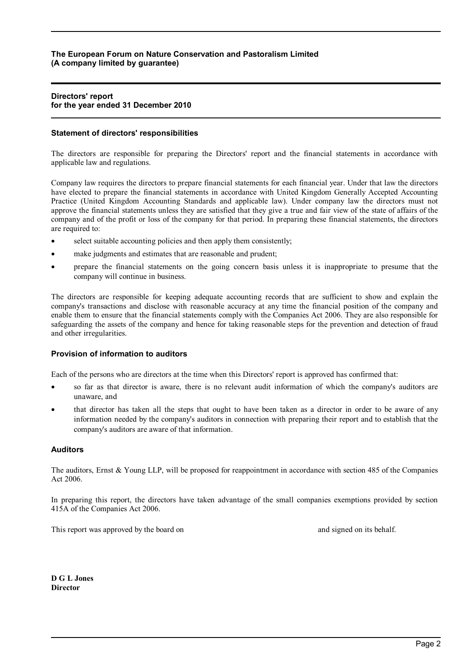#### **Directors' report for the year ended 31 December 2010**

#### **Statement of directors' responsibilities**

The directors are responsible for preparing the Directors' report and the financial statements in accordance with applicable law and regulations.

Company law requires the directors to prepare financial statements for each financial year. Under that law the directors have elected to prepare the financial statements in accordance with United Kingdom Generally Accepted Accounting Practice (United Kingdom Accounting Standards and applicable law). Under company law the directors must not approve the financial statements unless they are satisfied that they give a true and fair view of the state of affairs of the company and of the profit or loss of the company for that period. In preparing these financial statements, the directors are required to:

- select suitable accounting policies and then apply them consistently;
- make judgments and estimates that are reasonable and prudent;
- · prepare the financial statements on the going concern basis unless it is inappropriate to presume that the company will continue in business.

The directors are responsible for keeping adequate accounting records that are sufficient to show and explain the company's transactions and disclose with reasonable accuracy at any time the financial position of the company and enable them to ensure that the financial statements comply with the Companies Act 2006. They are also responsible for safeguarding the assets of the company and hence for taking reasonable steps for the prevention and detection of fraud and other irregularities.

## **Provision of information to auditors**

Each of the persons who are directors at the time when this Directors' report is approved has confirmed that:

- so far as that director is aware, there is no relevant audit information of which the company's auditors are unaware, and
- that director has taken all the steps that ought to have been taken as a director in order to be aware of any information needed by the company's auditors in connection with preparing their report and to establish that the company's auditors are aware of that information.

#### **Auditors**

The auditors, Ernst & Young LLP, will be proposed for reappointment in accordance with section 485 of the Companies Act 2006.

In preparing this report, the directors have taken advantage of the small companies exemptions provided by section 415A of the Companies Act 2006.

This report was approved by the board on and signed on and signed on its behalf.

**D G L Jones Director**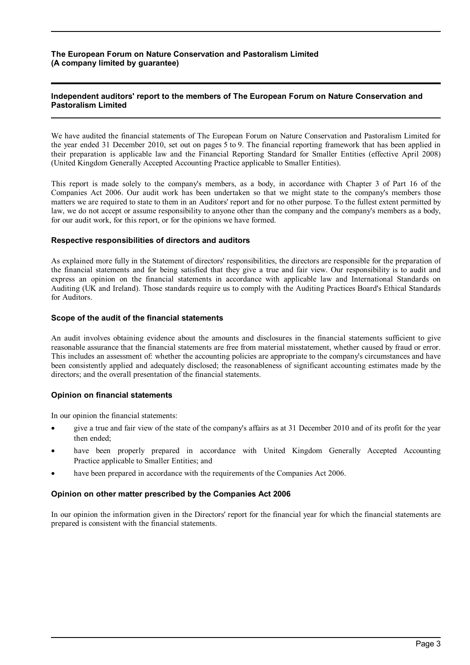### **Independent auditors' report to the members of The European Forum on Nature Conservation and Pastoralism Limited**

We have audited the financial statements of The European Forum on Nature Conservation and Pastoralism Limited for the year ended 31 December 2010, set out on pages 5 to 9. The financial reporting framework that has been applied in their preparation is applicable law and the Financial Reporting Standard for Smaller Entities (effective April 2008) (United Kingdom Generally Accepted Accounting Practice applicable to Smaller Entities).

This report is made solely to the company's members, as a body, in accordance with Chapter 3 of Part 16 of the Companies Act 2006. Our audit work has been undertaken so that we might state to the company's members those matters we are required to state to them in an Auditors' report and for no other purpose. To the fullest extent permitted by law, we do not accept or assume responsibility to anyone other than the company and the company's members as a body, for our audit work, for this report, or for the opinions we have formed.

#### **Respective responsibilities of directors and auditors**

As explained more fully in the Statement of directors' responsibilities, the directors are responsible for the preparation of the financial statements and for being satisfied that they give a true and fair view. Our responsibility is to audit and express an opinion on the financial statements in accordance with applicable law and International Standards on Auditing (UK and Ireland). Those standards require us to comply with the Auditing Practices Board's Ethical Standards for Auditors.

#### **Scope of the audit of the financial statements**

An audit involves obtaining evidence about the amounts and disclosures in the financial statements sufficient to give reasonable assurance that the financial statements are free from material misstatement, whether caused by fraud or error. This includes an assessment of: whether the accounting policies are appropriate to the company's circumstances and have been consistently applied and adequately disclosed; the reasonableness of significant accounting estimates made by the directors; and the overall presentation of the financial statements.

## **Opinion on financial statements**

In our opinion the financial statements:

- give a true and fair view of the state of the company's affairs as at 31 December 2010 and of its profit for the year then ended;
- have been properly prepared in accordance with United Kingdom Generally Accepted Accounting Practice applicable to Smaller Entities; and
- have been prepared in accordance with the requirements of the Companies Act 2006.

#### **Opinion on other matter prescribed by the Companies Act 2006**

In our opinion the information given in the Directors' report for the financial year for which the financial statements are prepared is consistent with the financial statements.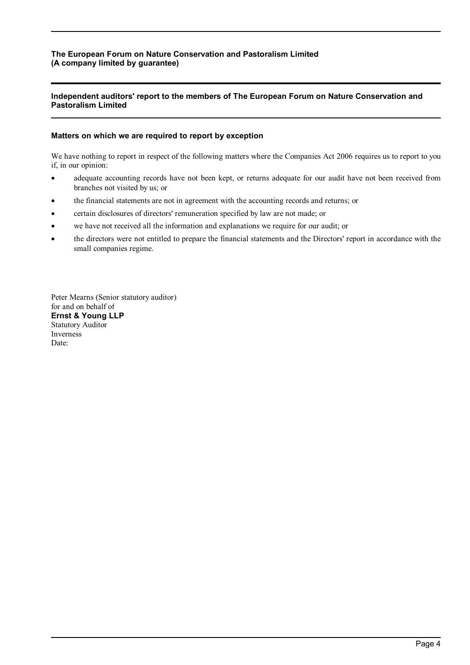## **Independent auditors' report to the members of The European Forum on Nature Conservation and Pastoralism Limited**

#### **Matters on which we are required to report by exception**

We have nothing to report in respect of the following matters where the Companies Act 2006 requires us to report to you if, in our opinion:

- · adequate accounting records have not been kept, or returns adequate for our audit have not been received from branches not visited by us; or
- · the financial statements are not in agreement with the accounting records and returns; or Ī
- certain disclosures of directors' remuneration specified by law are not made; or Ī
- we have not received all the information and explanations we require for our audit; or
- · the directors were not entitled to prepare the financial statements and the Directors' report in accordance with the small companies regime.

Peter Mearns (Senior statutory auditor) for and on behalf of **Ernst & Young LLP** Statutory Auditor Inverness Date: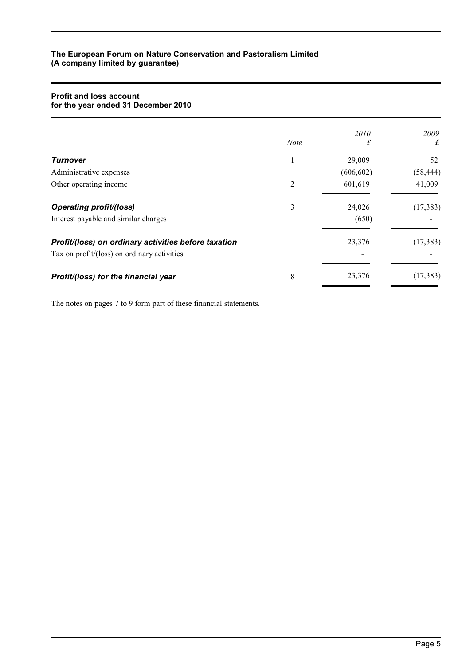## **Profit and loss account for the year ended 31 December 2010**

|                                                      | <b>Note</b> | 2010<br>£  | 2009<br>£ |
|------------------------------------------------------|-------------|------------|-----------|
| <b>Turnover</b>                                      | 1           | 29,009     | 52        |
| Administrative expenses                              |             | (606, 602) | (58, 444) |
| Other operating income                               | 2           | 601,619    | 41,009    |
| <b>Operating profit/(loss)</b>                       | 3           | 24,026     | (17, 383) |
| Interest payable and similar charges                 |             | (650)      |           |
| Profit/(loss) on ordinary activities before taxation |             | 23,376     | (17, 383) |
| Tax on profit/(loss) on ordinary activities          |             |            |           |
| Profit/(loss) for the financial year                 | 8           | 23,376     | (17, 383) |

The notes on pages 7 to 9 form part of these financial statements.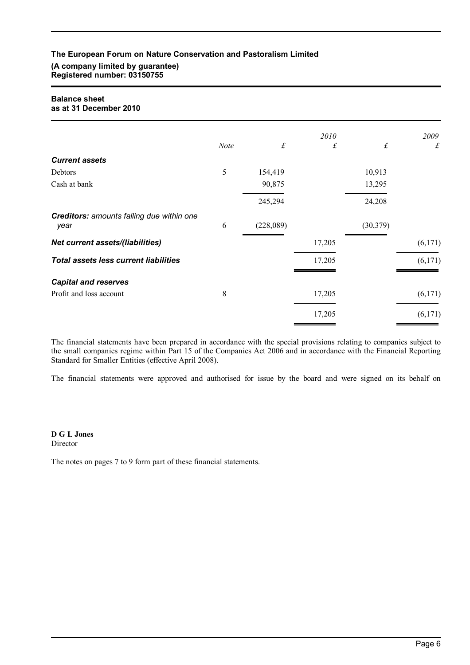#### **Balance sheet as at 31 December 2010**

|                                                   |             |           | 2010   |           | 2009      |
|---------------------------------------------------|-------------|-----------|--------|-----------|-----------|
|                                                   | <b>Note</b> | $\pounds$ | £      | $\pounds$ | $\pounds$ |
| <b>Current assets</b>                             |             |           |        |           |           |
| Debtors                                           | 5           | 154,419   |        | 10,913    |           |
| Cash at bank                                      |             | 90,875    |        | 13,295    |           |
|                                                   |             | 245,294   |        | 24,208    |           |
| Creditors: amounts falling due within one<br>year | 6           | (228,089) |        | (30, 379) |           |
| Net current assets/(liabilities)                  |             |           | 17,205 |           | (6,171)   |
| Total assets less current liabilities             |             |           | 17,205 |           | (6,171)   |
| <b>Capital and reserves</b>                       |             |           |        |           |           |
| Profit and loss account                           | 8           |           | 17,205 |           | (6,171)   |
|                                                   |             |           | 17,205 |           | (6,171)   |

The financial statements have been prepared in accordance with the special provisions relating to companies subject to the small companies regime within Part 15 of the Companies Act 2006 and in accordance with the Financial Reporting Standard for Smaller Entities (effective April 2008).

The financial statements were approved and authorised for issue by the board and were signed on its behalf on

**D G L Jones** Director

The notes on pages 7 to 9 form part of these financial statements.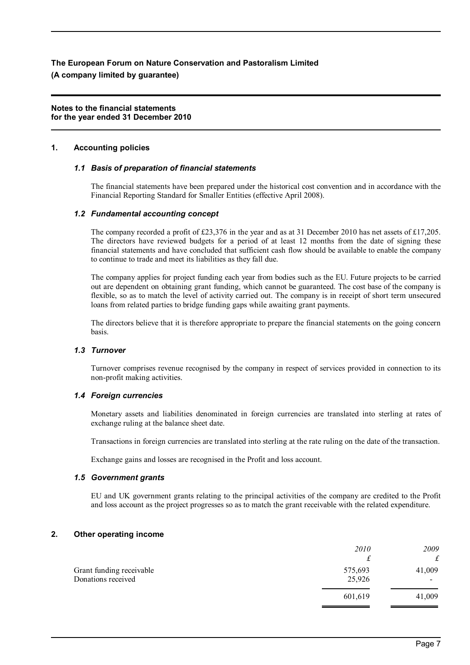## **The European Forum on Nature Conservation and Pastoralism Limited**

**(A company limited by guarantee)**

#### **Notes to the financial statements for the year ended 31 December 2010**

### **1. Accounting policies**

#### *1.1 Basis of preparation of financial statements*

The financial statements have been prepared under the historical cost convention and in accordance with the Financial Reporting Standard for Smaller Entities (effective April 2008).

#### *1.2 Fundamental accounting concept*

The company recorded a profit of £23,376 in the year and as at 31 December 2010 has net assets of £17,205. The directors have reviewed budgets for a period of at least 12 months from the date of signing these financial statements and have concluded that sufficient cash flow should be available to enable the company to continue to trade and meet its liabilities as they fall due.

The company applies for project funding each year from bodies such as the EU. Future projects to be carried out are dependent on obtaining grant funding, which cannot be guaranteed. The cost base of the company is flexible, so as to match the level of activity carried out. The company is in receipt of short term unsecured loans from related parties to bridge funding gaps while awaiting grant payments.

The directors believe that it is therefore appropriate to prepare the financial statements on the going concern basis.

## *1.3 Turnover*

Turnover comprises revenue recognised by the company in respect of services provided in connection to its non-profit making activities.

## *1.4 Foreign currencies*

Monetary assets and liabilities denominated in foreign currencies are translated into sterling at rates of exchange ruling at the balance sheet date.

Transactions in foreign currencies are translated into sterling at the rate ruling on the date of the transaction.

Exchange gains and losses are recognised in the Profit and loss account.

#### *1.5 Government grants*

EU and UK government grants relating to the principal activities of the company are credited to the Profit and loss account as the project progresses so as to match the grant receivable with the related expenditure.

## **2. Other operating income**

|                                                | <i>2010</i><br>t  | 2009   |
|------------------------------------------------|-------------------|--------|
| Grant funding receivable<br>Donations received | 575,693<br>25,926 | 41,009 |
|                                                | 601,619           | 41,009 |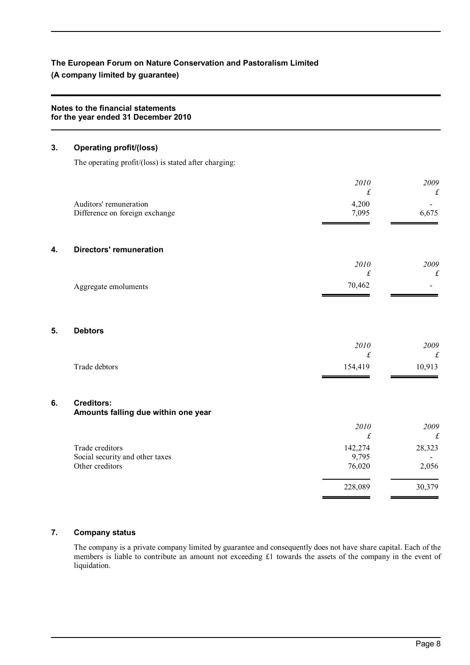# **The European Forum on Nature Conservation and Pastoralism Limited**

## **(A company limited by guarantee)**

#### **Notes to the financial statements for the year ended 31 December 2010**

# **3. Operating profit/(loss)**

The operating profit/(loss) is stated after charging:

|    |                                                          | 2010<br>£      | 2009<br>$\pounds$ |
|----|----------------------------------------------------------|----------------|-------------------|
|    | Auditors' remuneration                                   |                |                   |
|    | Difference on foreign exchange                           | 4,200<br>7,095 | 6,675             |
|    |                                                          |                |                   |
| 4. | <b>Directors' remuneration</b>                           |                |                   |
|    |                                                          | 2010           | 2009              |
|    |                                                          | $\pounds$      | £                 |
|    | Aggregate emoluments                                     | 70,462         |                   |
|    |                                                          |                |                   |
|    |                                                          |                |                   |
| 5. | <b>Debtors</b>                                           |                |                   |
|    |                                                          | 2010           | 2009              |
|    |                                                          | $\mathcal{L}$  | $\pounds$         |
|    | Trade debtors                                            | 154,419        | 10,913            |
|    |                                                          |                |                   |
| 6. | <b>Creditors:</b><br>Amounts falling due within one year |                |                   |
|    |                                                          |                |                   |
|    |                                                          | 2010           | 2009              |
|    |                                                          | $\pounds$      | $\mathcal{L}$     |
|    | Trade creditors                                          | 142,274        | 28,323            |
|    | Social security and other taxes<br>Other creditors       | 9,795          |                   |
|    |                                                          | 76,020         | 2,056             |
|    |                                                          | 228,089        | 30,379            |
|    |                                                          |                |                   |

# **7. Company status**

**5. Debtors**

The company is a private company limited by guarantee and consequently does not have share capital. Each of the members is liable to contribute an amount not exceeding £1 towards the assets of the company in the event of liquidation.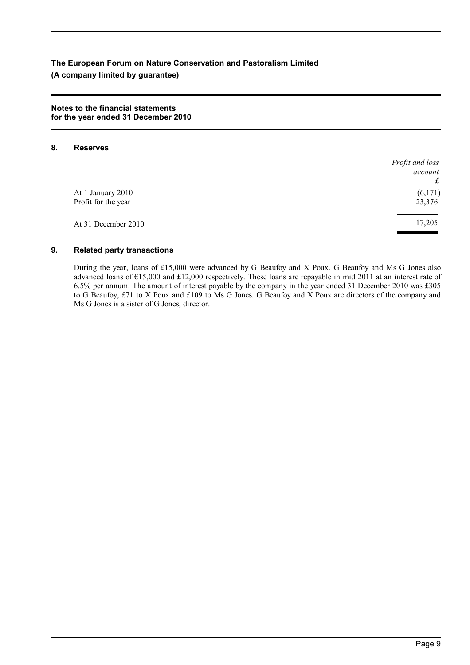#### **Notes to the financial statements for the year ended 31 December 2010**

### **8. Reserves**

|                                          | Profit and loss<br>account<br>£ |
|------------------------------------------|---------------------------------|
| At 1 January 2010<br>Profit for the year | (6,171)<br>23,376               |
| At 31 December 2010                      | 17,205                          |

## **9. Related party transactions**

During the year, loans of £15,000 were advanced by G Beaufoy and X Poux. G Beaufoy and Ms G Jones also advanced loans of €15,000 and £12,000 respectively. These loans are repayable in mid 2011 at an interest rate of 6.5% per annum. The amount of interest payable by the company in the year ended 31 December 2010 was £305 to G Beaufoy, £71 to X Poux and £109 to Ms G Jones. G Beaufoy and X Poux are directors of the company and Ms G Jones is a sister of G Jones, director.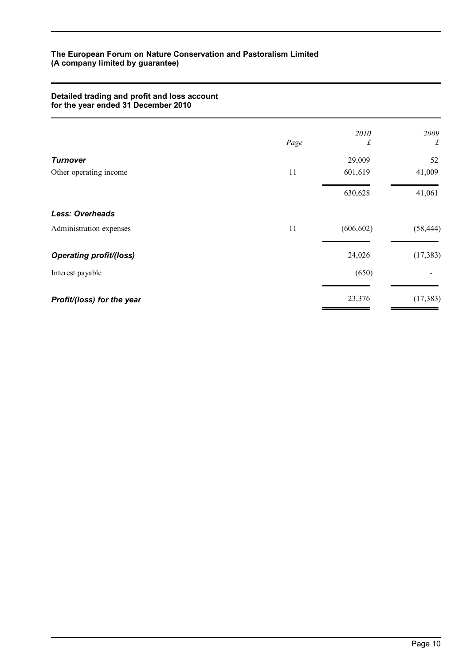## **Detailed trading and profit and loss account for the year ended 31 December 2010**

|      | 2010       | 2009      |
|------|------------|-----------|
| Page | £          | $\pounds$ |
|      | 29,009     | 52        |
| 11   | 601,619    | 41,009    |
|      | 630,628    | 41,061    |
|      |            |           |
| 11   | (606, 602) | (58, 444) |
|      | 24,026     | (17, 383) |
|      | (650)      |           |
|      | 23,376     | (17, 383) |
|      |            |           |